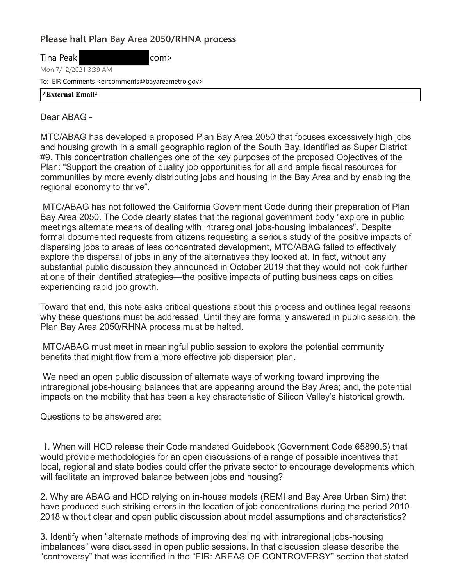## **Please halt Plan Bay Area 2050/RHNA process**

com>

| Tina Peak |  |
|-----------|--|
|-----------|--|

Mon 7/12/2021 3:39 AM

To: EIR Comments <eircomments@bayareametro.gov>

**\*External Email\***

## Dear ABAG -

MTC/ABAG has developed a proposed Plan Bay Area 2050 that focuses excessively high jobs and housing growth in a small geographic region of the South Bay, identified as Super District #9. This concentration challenges one of the key purposes of the proposed Objectives of the Plan: "Support the creation of quality job opportunities for all and ample fiscal resources for communities by more evenly distributing jobs and housing in the Bay Area and by enabling the regional economy to thrive".

MTC/ABAG has not followed the California Government Code during their preparation of Plan Bay Area 2050. The Code clearly states that the regional government body "explore in public meetings alternate means of dealing with intraregional jobs-housing imbalances". Despite formal documented requests from citizens requesting a serious study of the positive impacts of dispersing jobs to areas of less concentrated development, MTC/ABAG failed to effectively explore the dispersal of jobs in any of the alternatives they looked at. In fact, without any substantial public discussion they announced in October 2019 that they would not look further at one of their identified strategies—the positive impacts of putting business caps on cities experiencing rapid job growth.

Toward that end, this note asks critical questions about this process and outlines legal reasons why these questions must be addressed. Until they are formally answered in public session, the Plan Bay Area 2050/RHNA process must be halted.

MTC/ABAG must meet in meaningful public session to explore the potential community benefits that might flow from a more effective job dispersion plan.

We need an open public discussion of alternate ways of working toward improving the intraregional jobs-housing balances that are appearing around the Bay Area; and, the potential impacts on the mobility that has been a key characteristic of Silicon Valley's historical growth.

Questions to be answered are:

1. When will HCD release their Code mandated Guidebook (Government Code 65890.5) that would provide methodologies for an open discussions of a range of possible incentives that local, regional and state bodies could offer the private sector to encourage developments which will facilitate an improved balance between jobs and housing?

2. Why are ABAG and HCD relying on in-house models (REMI and Bay Area Urban Sim) that have produced such striking errors in the location of job concentrations during the period 2010- 2018 without clear and open public discussion about model assumptions and characteristics?

3. Identify when "alternate methods of improving dealing with intraregional jobs-housing imbalances" were discussed in open public sessions. In that discussion please describe the "controversy" that was identified in the "EIR: AREAS OF CONTROVERSY" section that stated